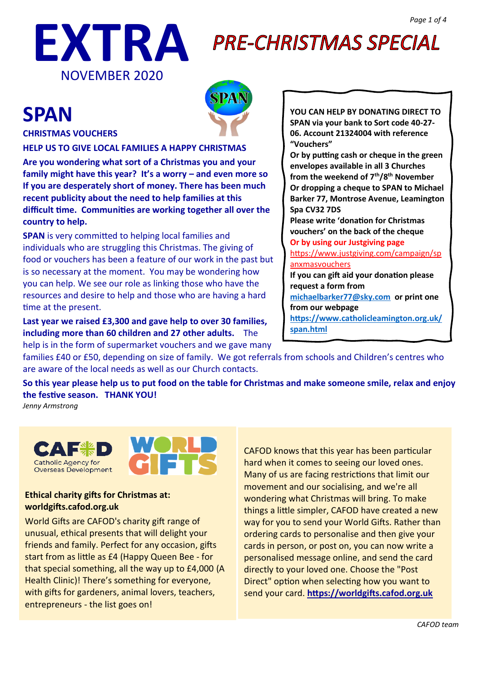

# **PRE-CHRISTMAS SPECIAL**

# **SPAN**



### **CHRISTMAS VOUCHERS**

**HELP US TO GIVE LOCAL FAMILIES A HAPPY CHRISTMAS**

**Are you wondering what sort of a Christmas you and your family might have this year? It's a worry – and even more so If you are desperately short of money. There has been much recent publicity about the need to help families at this difficult time. Communities are working together all over the country to help.** 

**SPAN** is very committed to helping local families and individuals who are struggling this Christmas. The giving of food or vouchers has been a feature of our work in the past but is so necessary at the moment. You may be wondering how you can help. We see our role as linking those who have the resources and desire to help and those who are having a hard time at the present.

**Last year we raised £3,300 and gave help to over 30 families, including more than 60 children and 27 other adults.** The help is in the form of supermarket vouchers and we gave many **YOU CAN HELP BY DONATING DIRECT TO SPAN via your bank to Sort code 40-27- 06. Account 21324004 with reference "Vouchers"** 

**Or by putting cash or cheque in the green envelopes available in all 3 Churches from the weekend of 7th/8th November Or dropping a cheque to SPAN to Michael Barker 77, Montrose Avenue, Leamington Spa CV32 7DS**

**Please write 'donation for Christmas vouchers' on the back of the cheque**

**Or by using our Justgiving page**  [https://www.justgiving.com/campaign/sp](https://www.justgiving.com/campaign/spanxmasvouchers)

[anxmasvouchers](https://www.justgiving.com/campaign/spanxmasvouchers)

**If you can gift aid your donation please request a form from** 

**[michaelbarker77@sky.com](mailto:michaelbarker77@sky.com) or print one from our webpage** 

**[https://www.catholicleamington.org.uk/](https://www.catholicleamington.org.uk/span.html) [span.html](https://www.catholicleamington.org.uk/span.html)**

families £40 or £50, depending on size of family. We got referrals from schools and Children's centres who are aware of the local needs as well as our Church contacts.

**So this year please help us to put food on the table for Christmas and make someone smile, relax and enjoy the festive season. THANK YOU!** 

*Jenny Armstrong*





### **Ethical charity gifts for Christmas at: worldgifts.cafod.org.uk**

World Gifts are CAFOD's charity gift range of unusual, ethical presents that will delight your friends and family. Perfect for any occasion, gifts start from as little as £4 (Happy Queen Bee - for that special something, all the way up to £4,000 (A Health Clinic)! There's something for everyone, with gifts for gardeners, animal lovers, teachers, entrepreneurs - the list goes on!

CAFOD knows that this year has been particular hard when it comes to seeing our loved ones. Many of us are facing restrictions that limit our movement and our socialising, and we're all wondering what Christmas will bring. To make things a little simpler, CAFOD have created a new way for you to send your World Gifts. Rather than ordering cards to personalise and then give your cards in person, or post on, you can now write a personalised message online, and send the card directly to your loved one. Choose the "Post Direct" option when selecting how you want to send your card. **[https://worldgifts.cafod.org.uk](https://worldgifts.cafod.org.uk/)**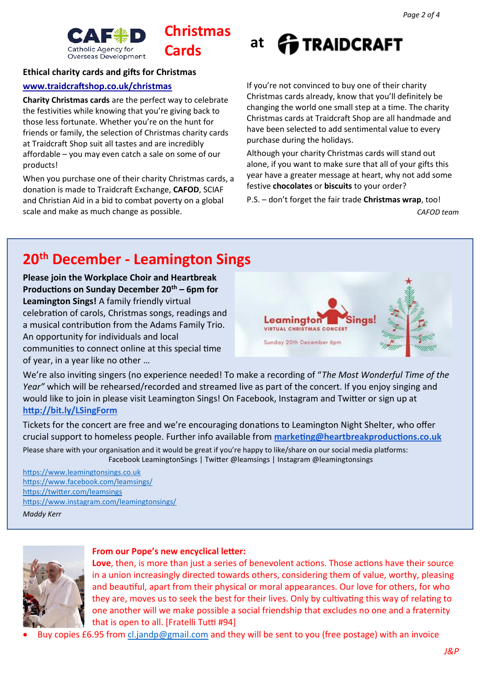

# **Christmas**

### **Ethical charity cards and gifts for Christmas**

### **[www.traidcraftshop.co.uk/christmas](http://www.traidcraftshop.co.uk/christmas)**

**Charity Christmas cards** are the perfect way to celebrate the festivities while knowing that you're giving back to those less fortunate. Whether you're on the hunt for friends or family, the selection of Christmas charity cards at Traidcraft Shop suit all tastes and are incredibly affordable – you may even catch a sale on some of our products!

When you purchase one of their charity Christmas cards, a donation is made to [Traidcraft Exchange,](https://www.traidcraft.org.uk/) **[CAFOD](https://cafod.org.uk/)**, [SCIAF](https://www.sciaf.org.uk/) an[d Christian Aid](https://www.christianaid.org.uk/) in a bid to combat poverty on a global scale and make as much change as possible.



If you're not convinced to buy one of their charity Christmas cards already, know that you'll definitely be changing the world one small step at a time. The charity Christmas cards at Traidcraft Shop are all handmade and have been selected to add sentimental value to every purchase during the holidays.

Although your charity Christmas cards will stand out alone, if you want to make sure that all of your gifts this year have a greater message at heart, why not add some festive **[chocolates](https://www.traidcraftshop.co.uk/christmas/christmas-food/chocolates)** or **[biscuits](https://www.traidcraftshop.co.uk/christmas/christmas-food/biscuits)** to your order?

P.S. – don't forget the fair trade **[Christmas wrap](https://www.traidcraftshop.co.uk/christmas/christmas-wrap)**, too! *CAFOD team*

### **20th December - Leamington Sings**

**Please join the Workplace Choir and Heartbreak Productions on Sunday December 20th – 6pm for Leamington Sings!** A family friendly virtual celebration of carols, Christmas songs, readings and a musical contribution from the Adams Family Trio. An opportunity for individuals and local communities to connect online at this special time of year, in a year like no other …



We're also inviting singers (no experience needed! To make a recording of "*The Most Wonderful Time of the Year"* which will be rehearsed/recorded and streamed live as part of the concert. If you enjoy singing and would like to join in please visit Leamington Sings! On Facebook, Instagram and Twitter or sign up at **<http://bit.ly/LSingForm>**

Tickets for the concert are free and we're encouraging donations to Leamington Night Shelter, who offer crucial support to homeless people. Further info available from **[marketing@heartbreakproductions.co.uk](mailto:marketing@heartbreakproductions.co.uk)**

Please share with your organisation and it would be great if you're happy to like/share on our social media platforms: Facebook LeamingtonSings | Twitter @leamsings | Instagram @leamingtonsings

[https://www.leamingtonsings.co.uk](https://www.leamingtonsings.co.uk/) <https://www.facebook.com/leamsings/> <https://twitter.com/leamsings> <https://www.instagram.com/leamingtonsings/>

*Maddy Kerr*



### **From our Pope's new encyclical letter:**

**Love**, then, is more than just a series of benevolent actions. Those actions have their source in a union increasingly directed towards others, considering them of value, worthy, pleasing and beautiful, apart from their physical or moral appearances. Our love for others, for who they are, moves us to seek the best for their lives. Only by cultivating this way of relating to one another will we make possible a social friendship that excludes no one and a fraternity that is open to all. [Fratelli Tutti #94]

• Buy copies £6.95 fro[m cl.jandp@gmail.com](mailto:cl.jandp@gmail.com) and they will be sent to you (free postage) with an invoice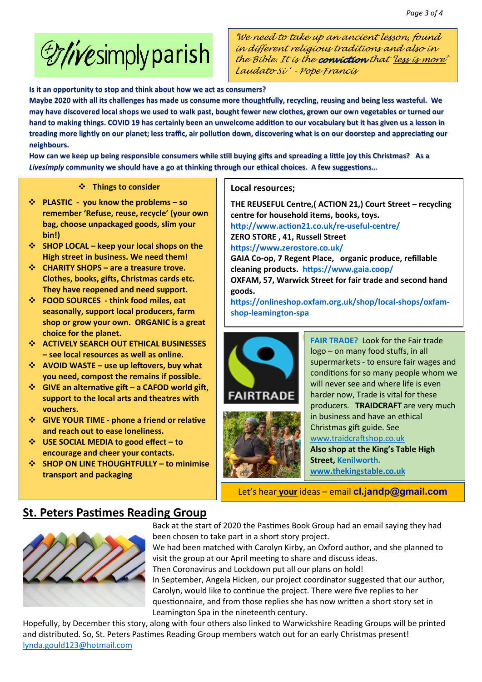

*'We need to take up an ancient lesson, found in different religious traditions and also in the Bible. It is the that 'less is more' Laudato Si ' - Pope Francis* 

**Is it an opportunity to stop and think about how we act as consumers?**

**Maybe 2020 with all its challenges has made us consume more thoughtfully, recycling, reusing and being less wasteful. We may have discovered local shops we used to walk past, bought fewer new clothes, grown our own vegetables or turned our hand to making things. COVID 19 has certainly been an unwelcome addition to our vocabulary but it has given us a lesson in treading more lightly on our planet; less traffic, air pollution down, discovering what is on our doorstep and appreciating our neighbours.** 

**How can we keep up being responsible consumers while still buying gifts and spreading a little joy this Christmas? As a** *Livesimply* **community we should have a go at thinking through our ethical choices. A few suggestions…** 

### ❖ **Things to consider**

- ❖ **PLASTIC you know the problems – so remember 'Refuse, reuse, recycle' (your own bag, choose unpackaged goods, slim your bin!)**
- ❖ **SHOP LOCAL – keep your local shops on the High street in business. We need them!**
- ❖ **CHARITY SHOPS – are a treasure trove. Clothes, books, gifts, Christmas cards etc. They have reopened and need support.**
- ❖ **FOOD SOURCES - think food miles, eat seasonally, support local producers, farm shop or grow your own. ORGANIC is a great choice for the planet.**
- ❖ **ACTIVELY SEARCH OUT ETHICAL BUSINESSES – see local resources as well as online.**
- ❖ **AVOID WASTE – use up leftovers, buy what you need, compost the remains if possible.**
- ❖ **GIVE an alternative gift – a CAFOD world gift, support to the local arts and theatres with vouchers.**
- ❖ **GIVE YOUR TIME - phone a friend or relative and reach out to ease loneliness.**
- ❖ **USE SOCIAL MEDIA to good effect – to encourage and cheer your contacts.**
- ❖ **SHOP ON LINE THOUGHTFULLY – to minimise transport and packaging**

#### **Local resources;**

**THE REUSEFUL Centre,( ACTION 21,) Court Street – recycling centre for household items, books, toys. <http://www.action21.co.uk/re-useful-centre/> ZERO STORE , 41, Russell Street <https://www.zerostore.co.uk/> GAIA Co-op, 7 Regent Place, organic produce, refillable cleaning products. <https://www.gaia.coop/> OXFAM, 57, Warwick Street for fair trade and second hand** 

**goods.** 

**[https://onlineshop.oxfam.org.uk/shop/local-shops/oxfam](https://onlineshop.oxfam.org.uk/shop/local-shops/oxfam-shop-leamington-spa)[shop-leamington-spa](https://onlineshop.oxfam.org.uk/shop/local-shops/oxfam-shop-leamington-spa)** 





**FAIR TRADE?** Look for the Fair trade logo – on many food stuffs, in all supermarkets - to ensure fair wages and conditions for so many people whom we will never see and where life is even harder now, Trade is vital for these producers. **TRAIDCRAFT** are very much in business and have an ethical Christmas gift guide. See [www.traidcraftshop.co.uk](http://www.traidcraftshop.co.uk/)  **Also shop at the King's Table High Street, Kenilworth. [www.thekingstable.co.uk](http://www.thekingstable.co.uk/)** 

Let's hear **your** ideas – email **[cl.jandp@gmail.com](mailto:cl.jandp@gmail.com)**

### **St. Peters Pastimes Reading Group**



Back at the start of 2020 the Pastimes Book Group had an email saying they had been chosen to take part in a short story project.

We had been matched with Carolyn Kirby, an Oxford author, and she planned to visit the group at our April meeting to share and discuss ideas.

Then Coronavirus and Lockdown put all our plans on hold!

In September, Angela Hicken, our project coordinator suggested that our author, Carolyn, would like to continue the project. There were five replies to her questionnaire, and from those replies she has now written a short story set in Leamington Spa in the nineteenth century.

Hopefully, by December this story, along with four others also linked to Warwickshire Reading Groups will be printed and distributed. So, St. Peters Pastimes Reading Group members watch out for an early Christmas present! [lynda.gould123@hotmail.com](mailto:lynda.gould123@hotmail.com)